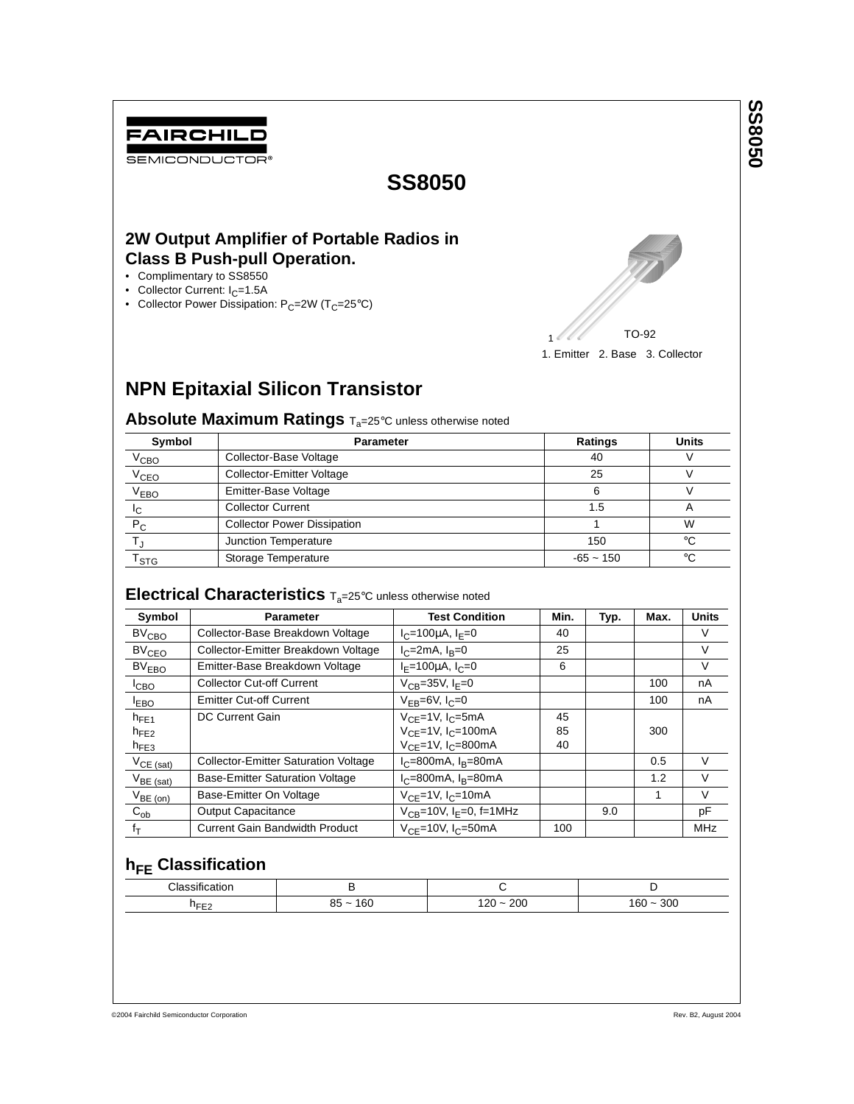# FAIRCHILD

SEMICONDUCTOR®

## **SS8050**

### **2W Output Amplifier of Portable Radios in Class B Push-pull Operation.**

- Complimentary to SS8550
- Collector Current:  $I_C = 1.5A$
- Collector Power Dissipation:  $P_C=2W$  (T<sub>C</sub>=25°C)



# **NPN Epitaxial Silicon Transistor**

**Absolute Maximum Ratings T<sub>a</sub>=25°C** unless otherwise noted

| Symbol                      | <b>Parameter</b>                   | <b>Ratings</b> | <b>Units</b> |  |
|-----------------------------|------------------------------------|----------------|--------------|--|
| V <sub>CBO</sub>            | Collector-Base Voltage             | 40             |              |  |
| V <sub>CEO</sub>            | <b>Collector-Emitter Voltage</b>   | 25             |              |  |
| V <sub>EBO</sub>            | Emitter-Base Voltage               | 6              |              |  |
| Iс                          | <b>Collector Current</b>           | 1.5            |              |  |
| $P_{C}$                     | <b>Collector Power Dissipation</b> |                | W            |  |
|                             | Junction Temperature               | 150            | ി            |  |
| $\mathsf{T}_{\textsf{STG}}$ | Storage Temperature                | $-65 - 150$    | $\circ$      |  |

### **Electrical Characteristics**  $T_{a}=25^{\circ}$ C unless otherwise noted

| Symbol                  | <b>Parameter</b>                            | <b>Test Condition</b>                    | Min. | Typ. | Max. | <b>Units</b> |
|-------------------------|---------------------------------------------|------------------------------------------|------|------|------|--------------|
| $BV_{\text{CBO}}$       | Collector-Base Breakdown Voltage            | $I_C = 100 \mu A$ , $I_F = 0$            | 40   |      |      | V            |
| <b>BV<sub>CEO</sub></b> | Collector-Emitter Breakdown Voltage         | $I_C = 2mA$ , $I_R = 0$                  | 25   |      |      | V            |
| BV <sub>EBO</sub>       | Emitter-Base Breakdown Voltage              | $I_F = 100 \mu A$ , $I_C = 0$            | 6    |      |      | V            |
| ICBO                    | <b>Collector Cut-off Current</b>            | $V_{CR}$ =35V, I <sub>F</sub> =0         |      |      | 100  | nA           |
| <b>LEBO</b>             | <b>Emitter Cut-off Current</b>              | $V_{FB} = 6V, I_C = 0$                   |      |      | 100  | nA           |
| $h_{FF1}$               | <b>DC Current Gain</b>                      | $V_{CF}$ =1V, $I_{C}$ =5mA               | 45   |      |      |              |
| $h_{FE2}$               |                                             | $V_{CF} = 1V$ , $I_C = 100$ mA           | 85   |      | 300  |              |
| $h_{FE3}$               |                                             | $V_{CF}$ =1V, I <sub>C</sub> =800mA      | 40   |      |      |              |
| $V_{CE (sat)}$          | <b>Collector-Emitter Saturation Voltage</b> | $I_C = 800$ mA, $I_B = 80$ mA            |      |      | 0.5  | $\vee$       |
| $V_{BE \text{ (sat)}}$  | <b>Base-Emitter Saturation Voltage</b>      | $I_C = 800$ mA, $I_B = 80$ mA            |      |      | 1.2  | V            |
| $V_{BE (on)}$           | Base-Emitter On Voltage                     | $V_{CF}$ =1V, $I_C$ =10mA                |      |      | 1    | $\vee$       |
| $C_{ob}$                | <b>Output Capacitance</b>                   | $V_{CB}$ =10V, I <sub>F</sub> =0, f=1MHz |      | 9.0  |      | pF           |
| $f_T$                   | Current Gain Bandwidth Product              | $V_{CF}$ =10V, I <sub>C</sub> =50mA      | 100  |      |      | <b>MHz</b>   |

### **h<sub>FE</sub>** Classification

| . .                 |                  |                         |                 |  |
|---------------------|------------------|-------------------------|-----------------|--|
| $2$ loccity<br>auor | ◡                |                         |                 |  |
| THE F<br>ᅩ          | 160<br>0E<br>ാ ~ | 200<br>חרי<br>. ZU<br>- | 300<br>'60<br>- |  |

**SS8050**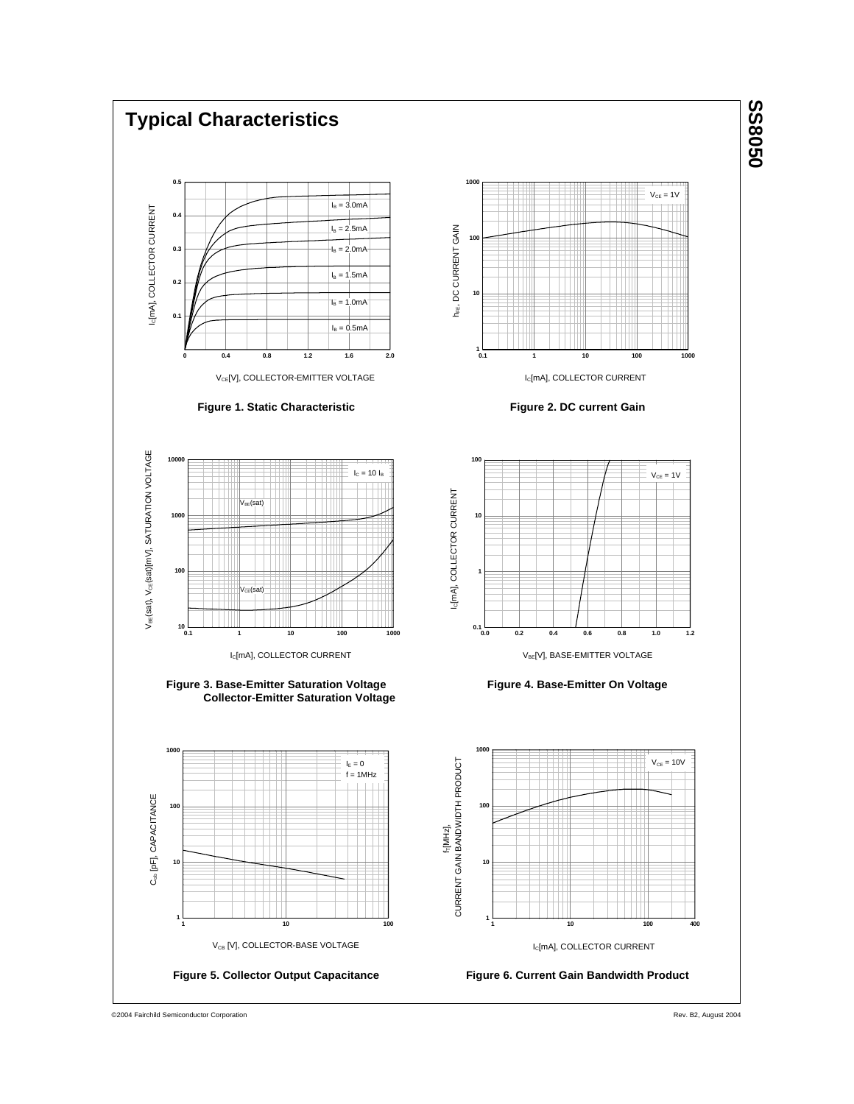

©2004 Fairchild Semiconductor Corporation

Rev. B2, August 2004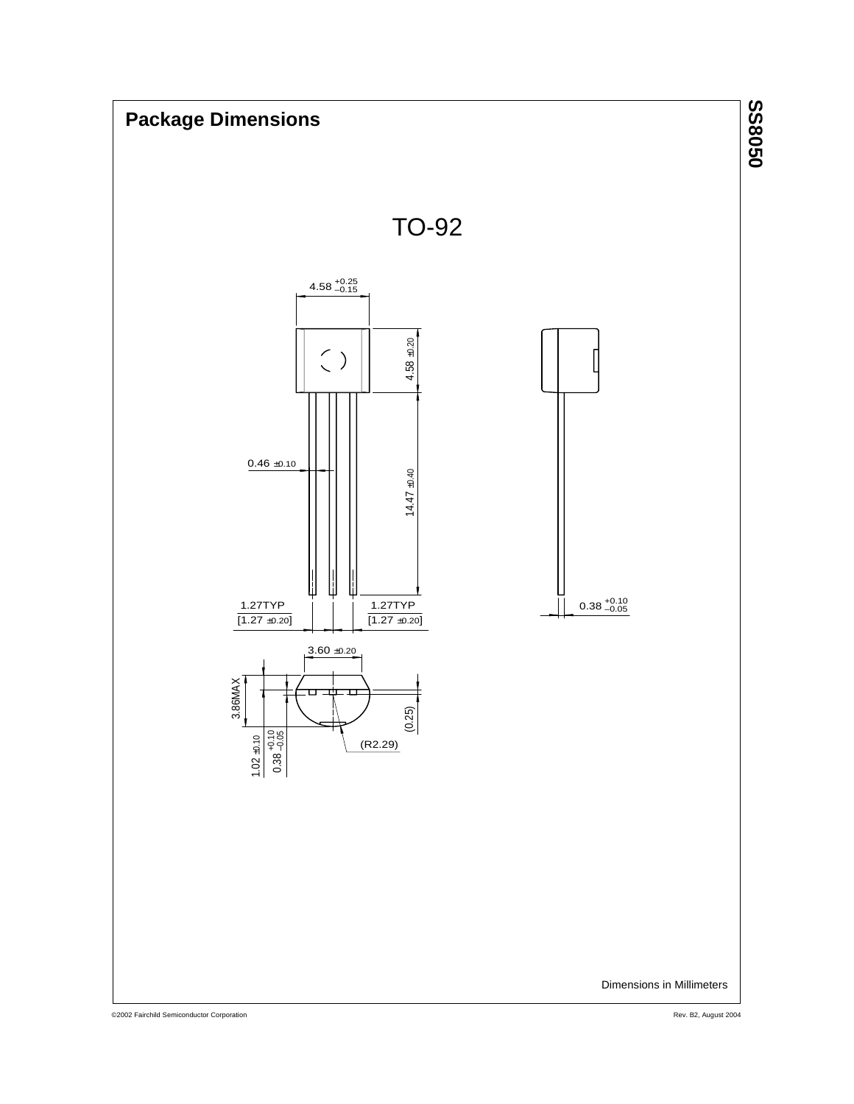